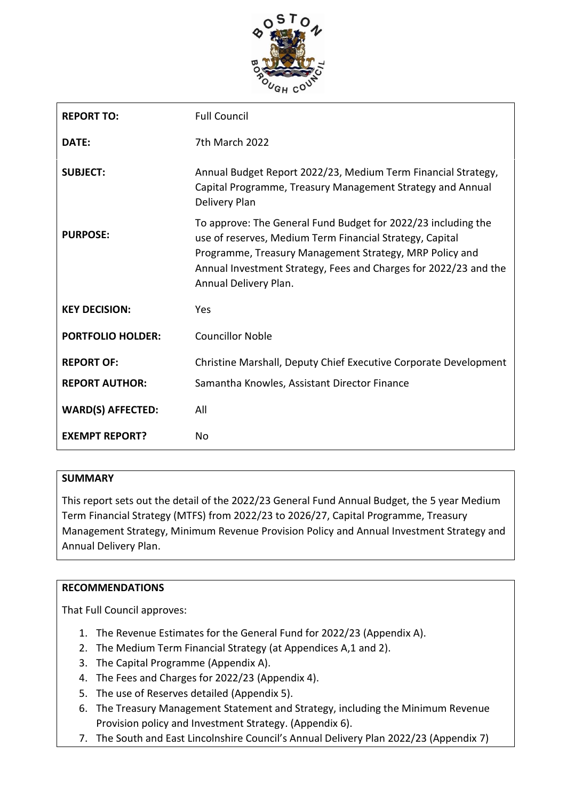

| <b>REPORT TO:</b>        | <b>Full Council</b>                                                                                                                                                                                                                                                               |
|--------------------------|-----------------------------------------------------------------------------------------------------------------------------------------------------------------------------------------------------------------------------------------------------------------------------------|
| DATE:                    | 7th March 2022                                                                                                                                                                                                                                                                    |
| <b>SUBJECT:</b>          | Annual Budget Report 2022/23, Medium Term Financial Strategy,<br>Capital Programme, Treasury Management Strategy and Annual<br>Delivery Plan                                                                                                                                      |
| <b>PURPOSE:</b>          | To approve: The General Fund Budget for 2022/23 including the<br>use of reserves, Medium Term Financial Strategy, Capital<br>Programme, Treasury Management Strategy, MRP Policy and<br>Annual Investment Strategy, Fees and Charges for 2022/23 and the<br>Annual Delivery Plan. |
| <b>KEY DECISION:</b>     | Yes                                                                                                                                                                                                                                                                               |
| <b>PORTFOLIO HOLDER:</b> | <b>Councillor Noble</b>                                                                                                                                                                                                                                                           |
| <b>REPORT OF:</b>        | Christine Marshall, Deputy Chief Executive Corporate Development                                                                                                                                                                                                                  |
| <b>REPORT AUTHOR:</b>    | Samantha Knowles, Assistant Director Finance                                                                                                                                                                                                                                      |
| <b>WARD(S) AFFECTED:</b> | All                                                                                                                                                                                                                                                                               |
| <b>EXEMPT REPORT?</b>    | No                                                                                                                                                                                                                                                                                |

#### **SUMMARY**

This report sets out the detail of the 2022/23 General Fund Annual Budget, the 5 year Medium Term Financial Strategy (MTFS) from 2022/23 to 2026/27, Capital Programme, Treasury Management Strategy, Minimum Revenue Provision Policy and Annual Investment Strategy and Annual Delivery Plan.

# **RECOMMENDATIONS**

That Full Council approves:

- 1. The Revenue Estimates for the General Fund for 2022/23 (Appendix A).
- 2. The Medium Term Financial Strategy (at Appendices A,1 and 2).
- 3. The Capital Programme (Appendix A).
- 4. The Fees and Charges for 2022/23 (Appendix 4).
- 5. The use of Reserves detailed (Appendix 5).
- 6. The Treasury Management Statement and Strategy, including the Minimum Revenue Provision policy and Investment Strategy. (Appendix 6).
- 7. The South and East Lincolnshire Council's Annual Delivery Plan 2022/23 (Appendix 7)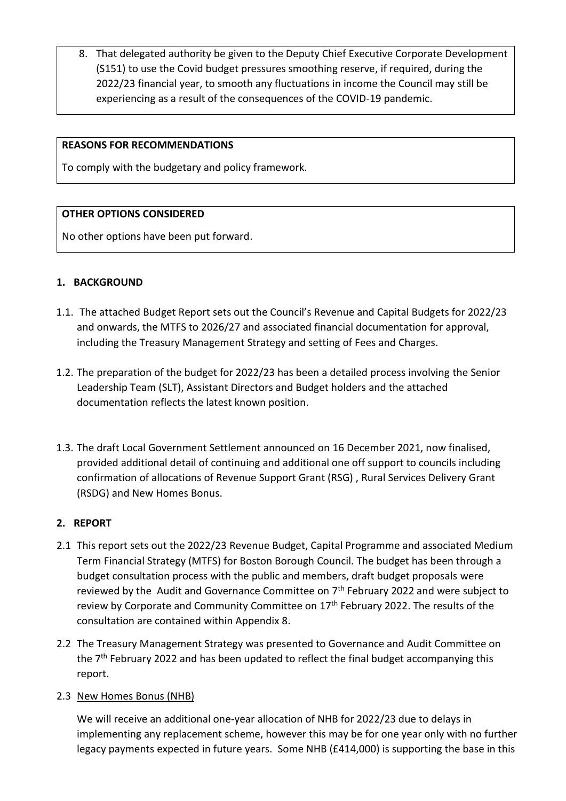8. That delegated authority be given to the Deputy Chief Executive Corporate Development (S151) to use the Covid budget pressures smoothing reserve, if required, during the 2022/23 financial year, to smooth any fluctuations in income the Council may still be experiencing as a result of the consequences of the COVID-19 pandemic.

#### **REASONS FOR RECOMMENDATIONS**

To comply with the budgetary and policy framework.

# **OTHER OPTIONS CONSIDERED**

No other options have been put forward.

# **1. BACKGROUND**

- 1.1. The attached Budget Report sets out the Council's Revenue and Capital Budgets for 2022/23 and onwards, the MTFS to 2026/27 and associated financial documentation for approval, including the Treasury Management Strategy and setting of Fees and Charges.
- 1.2. The preparation of the budget for 2022/23 has been a detailed process involving the Senior Leadership Team (SLT), Assistant Directors and Budget holders and the attached documentation reflects the latest known position.
- 1.3. The draft Local Government Settlement announced on 16 December 2021, now finalised, provided additional detail of continuing and additional one off support to councils including confirmation of allocations of Revenue Support Grant (RSG) , Rural Services Delivery Grant (RSDG) and New Homes Bonus.

# **2. REPORT**

- 2.1 This report sets out the 2022/23 Revenue Budget, Capital Programme and associated Medium Term Financial Strategy (MTFS) for Boston Borough Council. The budget has been through a budget consultation process with the public and members, draft budget proposals were reviewed by the Audit and Governance Committee on  $7<sup>th</sup>$  February 2022 and were subject to review by Corporate and Community Committee on 17<sup>th</sup> February 2022. The results of the consultation are contained within Appendix 8.
- 2.2 The Treasury Management Strategy was presented to Governance and Audit Committee on the 7<sup>th</sup> February 2022 and has been updated to reflect the final budget accompanying this report.

# 2.3 New Homes Bonus (NHB)

We will receive an additional one-year allocation of NHB for 2022/23 due to delays in implementing any replacement scheme, however this may be for one year only with no further legacy payments expected in future years. Some NHB (£414,000) is supporting the base in this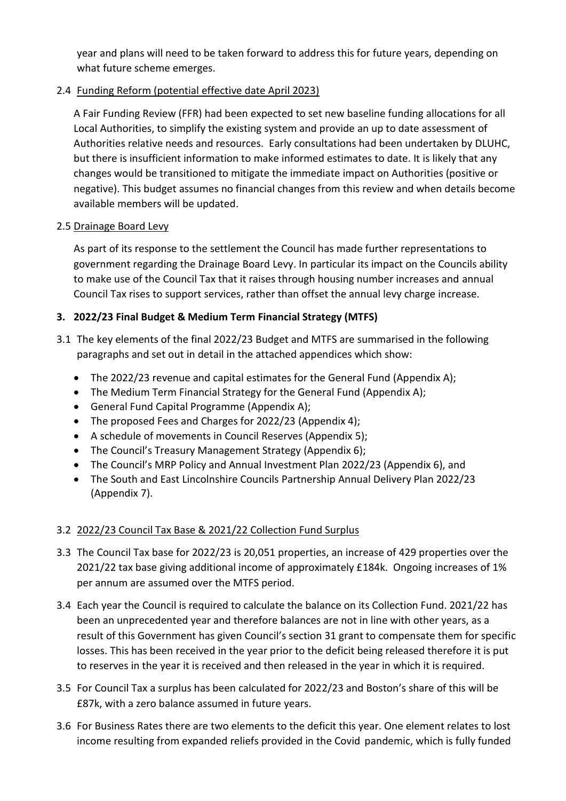year and plans will need to be taken forward to address this for future years, depending on what future scheme emerges.

# 2.4 Funding Reform (potential effective date April 2023)

A Fair Funding Review (FFR) had been expected to set new baseline funding allocations for all Local Authorities, to simplify the existing system and provide an up to date assessment of Authorities relative needs and resources. Early consultations had been undertaken by DLUHC, but there is insufficient information to make informed estimates to date. It is likely that any changes would be transitioned to mitigate the immediate impact on Authorities (positive or negative). This budget assumes no financial changes from this review and when details become available members will be updated.

# 2.5 Drainage Board Levy

As part of its response to the settlement the Council has made further representations to government regarding the Drainage Board Levy. In particular its impact on the Councils ability to make use of the Council Tax that it raises through housing number increases and annual Council Tax rises to support services, rather than offset the annual levy charge increase.

# **3. 2022/23 Final Budget & Medium Term Financial Strategy (MTFS)**

- 3.1 The key elements of the final 2022/23 Budget and MTFS are summarised in the following paragraphs and set out in detail in the attached appendices which show:
	- The 2022/23 revenue and capital estimates for the General Fund (Appendix A);
	- The Medium Term Financial Strategy for the General Fund (Appendix A);
	- General Fund Capital Programme (Appendix A);
	- The proposed Fees and Charges for 2022/23 (Appendix 4);
	- A schedule of movements in Council Reserves (Appendix 5);
	- The Council's Treasury Management Strategy (Appendix 6);
	- The Council's MRP Policy and Annual Investment Plan 2022/23 (Appendix 6), and
	- The South and East Lincolnshire Councils Partnership Annual Delivery Plan 2022/23 (Appendix 7).

# 3.2 2022/23 Council Tax Base & 2021/22 Collection Fund Surplus

- 3.3 The Council Tax base for 2022/23 is 20,051 properties, an increase of 429 properties over the 2021/22 tax base giving additional income of approximately £184k. Ongoing increases of 1% per annum are assumed over the MTFS period.
- 3.4 Each year the Council is required to calculate the balance on its Collection Fund. 2021/22 has been an unprecedented year and therefore balances are not in line with other years, as a result of this Government has given Council's section 31 grant to compensate them for specific losses. This has been received in the year prior to the deficit being released therefore it is put to reserves in the year it is received and then released in the year in which it is required.
- 3.5 For Council Tax a surplus has been calculated for 2022/23 and Boston's share of this will be £87k, with a zero balance assumed in future years.
- 3.6 For Business Rates there are two elements to the deficit this year. One element relates to lost income resulting from expanded reliefs provided in the Covid pandemic, which is fully funded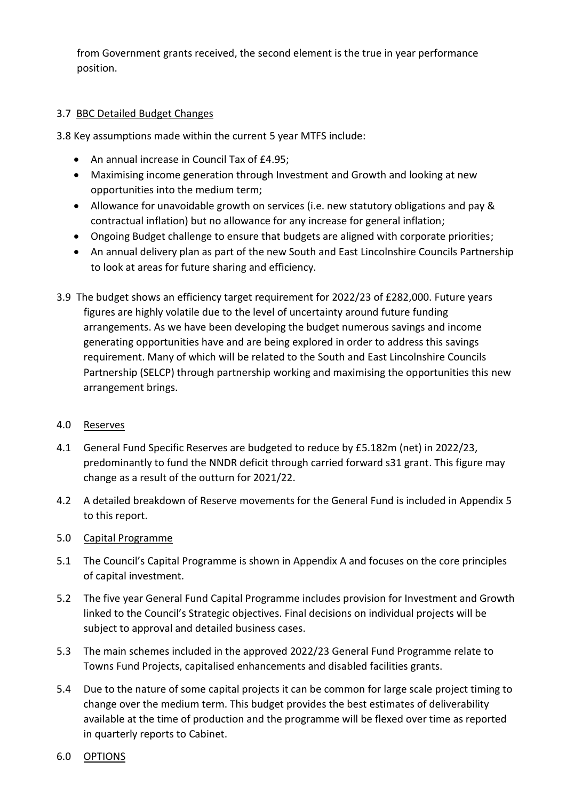from Government grants received, the second element is the true in year performance position.

# 3.7 BBC Detailed Budget Changes

3.8 Key assumptions made within the current 5 year MTFS include:

- An annual increase in Council Tax of £4.95;
- Maximising income generation through Investment and Growth and looking at new opportunities into the medium term;
- Allowance for unavoidable growth on services (i.e. new statutory obligations and pay & contractual inflation) but no allowance for any increase for general inflation;
- Ongoing Budget challenge to ensure that budgets are aligned with corporate priorities;
- An annual delivery plan as part of the new South and East Lincolnshire Councils Partnership to look at areas for future sharing and efficiency.
- 3.9 The budget shows an efficiency target requirement for 2022/23 of £282,000. Future years figures are highly volatile due to the level of uncertainty around future funding arrangements. As we have been developing the budget numerous savings and income generating opportunities have and are being explored in order to address this savings requirement. Many of which will be related to the South and East Lincolnshire Councils Partnership (SELCP) through partnership working and maximising the opportunities this new arrangement brings.

# 4.0 Reserves

- 4.1 General Fund Specific Reserves are budgeted to reduce by £5.182m (net) in 2022/23, predominantly to fund the NNDR deficit through carried forward s31 grant. This figure may change as a result of the outturn for 2021/22.
- 4.2 A detailed breakdown of Reserve movements for the General Fund is included in Appendix 5 to this report.
- 5.0 Capital Programme
- 5.1 The Council's Capital Programme is shown in Appendix A and focuses on the core principles of capital investment.
- 5.2 The five year General Fund Capital Programme includes provision for Investment and Growth linked to the Council's Strategic objectives. Final decisions on individual projects will be subject to approval and detailed business cases.
- 5.3 The main schemes included in the approved 2022/23 General Fund Programme relate to Towns Fund Projects, capitalised enhancements and disabled facilities grants.
- 5.4 Due to the nature of some capital projects it can be common for large scale project timing to change over the medium term. This budget provides the best estimates of deliverability available at the time of production and the programme will be flexed over time as reported in quarterly reports to Cabinet.

# 6.0 OPTIONS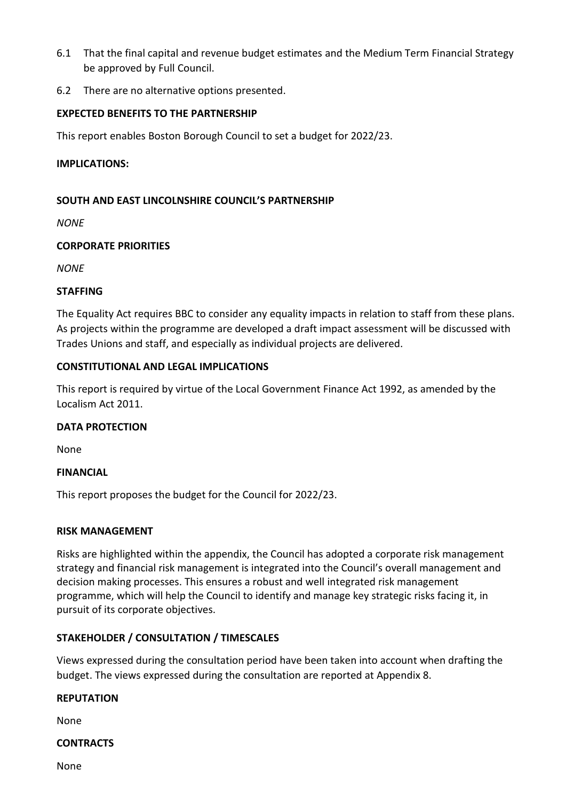- 6.1 That the final capital and revenue budget estimates and the Medium Term Financial Strategy be approved by Full Council.
- 6.2 There are no alternative options presented.

## **EXPECTED BENEFITS TO THE PARTNERSHIP**

This report enables Boston Borough Council to set a budget for 2022/23.

#### **IMPLICATIONS:**

#### **SOUTH AND EAST LINCOLNSHIRE COUNCIL'S PARTNERSHIP**

*NONE*

## **CORPORATE PRIORITIES**

*NONE*

## **STAFFING**

The Equality Act requires BBC to consider any equality impacts in relation to staff from these plans. As projects within the programme are developed a draft impact assessment will be discussed with Trades Unions and staff, and especially as individual projects are delivered.

## **CONSTITUTIONAL AND LEGAL IMPLICATIONS**

This report is required by virtue of the Local Government Finance Act 1992, as amended by the Localism Act 2011.

#### **DATA PROTECTION**

None

#### **FINANCIAL**

This report proposes the budget for the Council for 2022/23.

#### **RISK MANAGEMENT**

Risks are highlighted within the appendix, the Council has adopted a corporate risk management strategy and financial risk management is integrated into the Council's overall management and decision making processes. This ensures a robust and well integrated risk management programme, which will help the Council to identify and manage key strategic risks facing it, in pursuit of its corporate objectives.

# **STAKEHOLDER / CONSULTATION / TIMESCALES**

Views expressed during the consultation period have been taken into account when drafting the budget. The views expressed during the consultation are reported at Appendix 8.

#### **REPUTATION**

None

#### **CONTRACTS**

None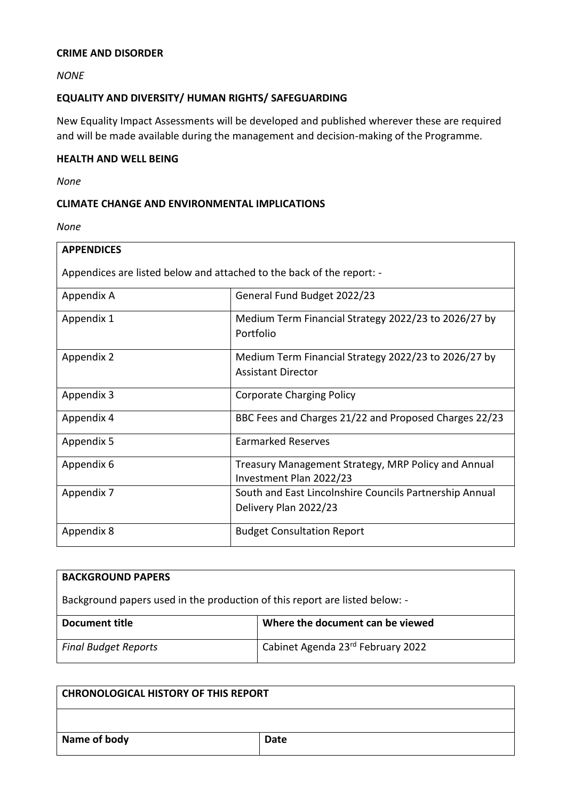#### **CRIME AND DISORDER**

*NONE*

### **EQUALITY AND DIVERSITY/ HUMAN RIGHTS/ SAFEGUARDING**

New Equality Impact Assessments will be developed and published wherever these are required and will be made available during the management and decision-making of the Programme.

#### **HEALTH AND WELL BEING**

*None*

## **CLIMATE CHANGE AND ENVIRONMENTAL IMPLICATIONS**

*None*

| <b>APPENDICES</b>                                                     |                                                                                   |  |
|-----------------------------------------------------------------------|-----------------------------------------------------------------------------------|--|
| Appendices are listed below and attached to the back of the report: - |                                                                                   |  |
| Appendix A                                                            | General Fund Budget 2022/23                                                       |  |
| Appendix 1                                                            | Medium Term Financial Strategy 2022/23 to 2026/27 by<br>Portfolio                 |  |
| Appendix 2                                                            | Medium Term Financial Strategy 2022/23 to 2026/27 by<br><b>Assistant Director</b> |  |
| Appendix 3                                                            | <b>Corporate Charging Policy</b>                                                  |  |
| Appendix 4                                                            | BBC Fees and Charges 21/22 and Proposed Charges 22/23                             |  |
| Appendix 5                                                            | <b>Earmarked Reserves</b>                                                         |  |
| Appendix 6                                                            | Treasury Management Strategy, MRP Policy and Annual<br>Investment Plan 2022/23    |  |
| Appendix 7                                                            | South and East Lincolnshire Councils Partnership Annual<br>Delivery Plan 2022/23  |  |
| Appendix 8                                                            | <b>Budget Consultation Report</b>                                                 |  |

| <b>BACKGROUND PAPERS</b>                                                    |                                   |  |  |
|-----------------------------------------------------------------------------|-----------------------------------|--|--|
| Background papers used in the production of this report are listed below: - |                                   |  |  |
| Document title                                                              | Where the document can be viewed  |  |  |
| <b>Final Budget Reports</b>                                                 | Cabinet Agenda 23rd February 2022 |  |  |

| CHRONOLOGICAL HISTORY OF THIS REPORT |      |  |
|--------------------------------------|------|--|
|                                      |      |  |
| Name of body                         | Date |  |